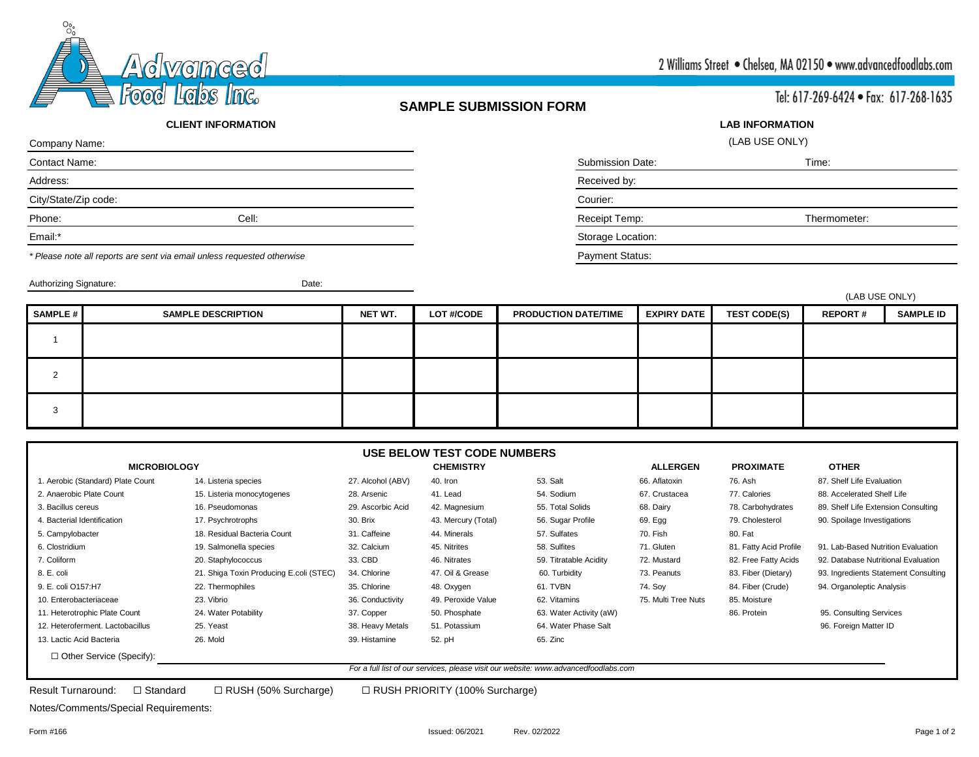

### **SAMPLE SUBMISSION FORM**

Tel: 617-269-6424 · Fax: 617-268-1635

#### **CLIENT INFORMATION**

| Company Name:        |       |                         | (LAB USE ONLY) |
|----------------------|-------|-------------------------|----------------|
| Contact Name:        |       | <b>Submission Date:</b> | Time:          |
| Address:             |       | Received by:            |                |
| City/State/Zip code: |       | Courier:                |                |
| Phone:               | Cell: | Receipt Temp:           | Thermometer:   |
| Email:*              |       | Storage Location:       |                |
|                      |       |                         |                |

*\* Please note all reports are sent via email unless requested otherwise* Payment Status:

Authorizing Signature: Date: Date:

| (LAB USE ONLY) |
|----------------|
| Time:          |
|                |

**LAB INFORMATION**

| Courier: |  |  |
|----------|--|--|
|          |  |  |

(LAB USE ONLY)

|          |                           |         |                   |                             | (LAD USE UNLT)     |                     |                |                  |
|----------|---------------------------|---------|-------------------|-----------------------------|--------------------|---------------------|----------------|------------------|
| SAMPLE # | <b>SAMPLE DESCRIPTION</b> | NET WT. | <b>LOT #/CODE</b> | <b>PRODUCTION DATE/TIME</b> | <b>EXPIRY DATE</b> | <b>TEST CODE(S)</b> | <b>REPORT#</b> | <b>SAMPLE ID</b> |
|          |                           |         |                   |                             |                    |                     |                |                  |
| $\Omega$ |                           |         |                   |                             |                    |                     |                |                  |
| 3        |                           |         |                   |                             |                    |                     |                |                  |

#### **USE BELOW TEST CODE NUMBERS**

| <b>MICROBIOLOGY</b>               |                                                                                     |                   | <b>CHEMISTRY</b>    |                         | <b>ALLERGEN</b>     | <b>PROXIMATE</b>       | <b>OTHER</b>                         |
|-----------------------------------|-------------------------------------------------------------------------------------|-------------------|---------------------|-------------------------|---------------------|------------------------|--------------------------------------|
| 1. Aerobic (Standard) Plate Count | 14. Listeria species                                                                | 27. Alcohol (ABV) | 40. Iron            | 53. Salt                | 66. Aflatoxin       | 76. Ash                | 87. Shelf Life Evaluation            |
| 2. Anaerobic Plate Count          | 15. Listeria monocytogenes                                                          | 28. Arsenic       | 41. Lead            | 54. Sodium              | 67. Crustacea       | 77. Calories           | 88. Accelerated Shelf Life           |
| 3. Bacillus cereus                | 16. Pseudomonas                                                                     | 29. Ascorbic Acid | 42. Magnesium       | 55. Total Solids        | 68. Dairy           | 78. Carbohydrates      | 89. Shelf Life Extension Consulting  |
| 4. Bacterial Identification       | 17. Psychrotrophs                                                                   | 30. Brix          | 43. Mercury (Total) | 56. Sugar Profile       | 69. Egg             | 79. Cholesterol        | 90. Spoilage Investigations          |
| 5. Campylobacter                  | 18. Residual Bacteria Count                                                         | 31. Caffeine      | 44. Minerals        | 57. Sulfates            | 70. Fish            | 80. Fat                |                                      |
| 6. Clostridium                    | 19. Salmonella species                                                              | 32. Calcium       | 45. Nitrites        | 58. Sulfites            | 71. Gluten          | 81. Fatty Acid Profile | 91. Lab-Based Nutrition Evaluation   |
| 7. Coliform                       | 20. Staphylococcus                                                                  | 33. CBD           | 46. Nitrates        | 59. Titratable Acidity  | 72. Mustard         | 82. Free Fatty Acids   | 92. Database Nutritional Evaluation  |
| 8. E. coli                        | 21. Shiga Toxin Producing E.coli (STEC)                                             | 34. Chlorine      | 47. Oil & Grease    | 60. Turbidity           | 73. Peanuts         | 83. Fiber (Dietary)    | 93. Ingredients Statement Consulting |
| 9. E. coli O157:H7                | 22. Thermophiles                                                                    | 35. Chlorine      | 48. Oxygen          | 61. TVBN                | 74. Sov             | 84. Fiber (Crude)      | 94. Organoleptic Analysis            |
| 10. Enterobacteriaceae            | 23. Vibrio                                                                          | 36. Conductivity  | 49. Peroxide Value  | 62. Vitamins            | 75. Multi Tree Nuts | 85. Moisture           |                                      |
| 11. Heterotrophic Plate Count     | 24. Water Potability                                                                | 37. Copper        | 50. Phosphate       | 63. Water Activity (aW) |                     | 86. Protein            | 95. Consulting Services              |
| 12. Heteroferment. Lactobacillus  | 25. Yeast                                                                           | 38. Heavy Metals  | 51. Potassium       | 64. Water Phase Salt    |                     |                        | 96. Foreign Matter ID                |
| 13. Lactic Acid Bacteria          | 26. Mold                                                                            | 39. Histamine     | 52. pH              | 65. Zinc                |                     |                        |                                      |
| □ Other Service (Specify):        |                                                                                     |                   |                     |                         |                     |                        |                                      |
|                                   | For a full list of our services, please visit our website: www.advancedfoodlabs.com |                   |                     |                         |                     |                        |                                      |

Result Turnaround: ☐ Standard ☐ RUSH (50% Surcharge) ☐ RUSH PRIORITY (100% Surcharge)

Notes/Comments/Special Requirements: